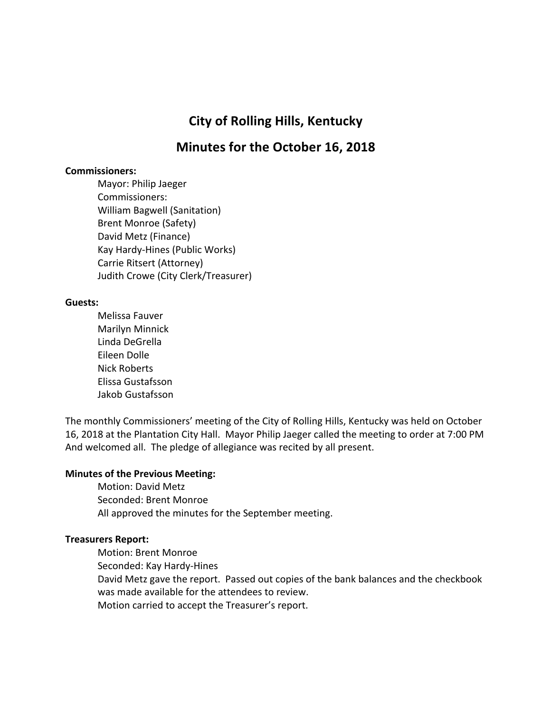# **City of Rolling Hills, Kentucky**

# **Minutes for the October 16, 2018**

#### **Commissioners:**

Mayor: Philip Jaeger Commissioners: William Bagwell (Sanitation) Brent Monroe (Safety) David Metz (Finance) Kay Hardy-Hines (Public Works) Carrie Ritsert (Attorney) Judith Crowe (City Clerk/Treasurer)

#### **Guests:**

Melissa Fauver Marilyn Minnick Linda DeGrella Eileen Dolle Nick Roberts Elissa Gustafsson Jakob Gustafsson

The monthly Commissioners' meeting of the City of Rolling Hills, Kentucky was held on October 16, 2018 at the Plantation City Hall. Mayor Philip Jaeger called the meeting to order at 7:00 PM And welcomed all. The pledge of allegiance was recited by all present.

#### **Minutes of the Previous Meeting:**

Motion: David Metz Seconded: Brent Monroe All approved the minutes for the September meeting.

#### **Treasurers Report:**

Motion: Brent Monroe

Seconded: Kay Hardy-Hines

David Metz gave the report. Passed out copies of the bank balances and the checkbook was made available for the attendees to review.

Motion carried to accept the Treasurer's report.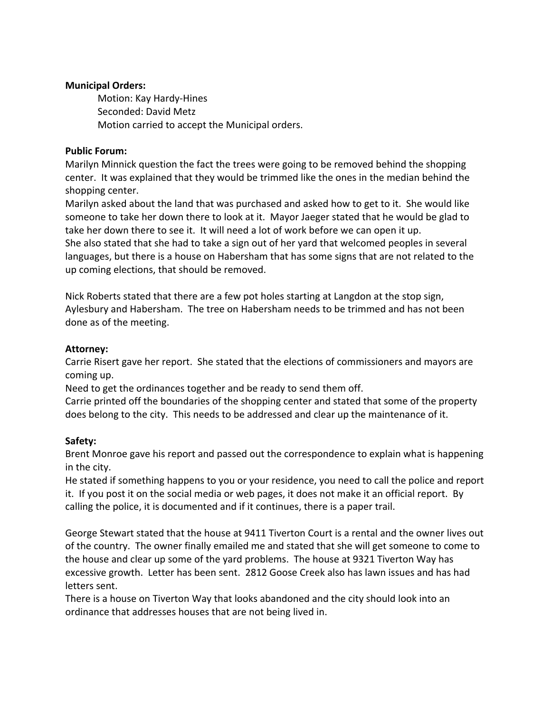## **Municipal Orders:**

Motion: Kay Hardy-Hines Seconded: David Metz Motion carried to accept the Municipal orders.

## **Public Forum:**

Marilyn Minnick question the fact the trees were going to be removed behind the shopping center. It was explained that they would be trimmed like the ones in the median behind the shopping center.

Marilyn asked about the land that was purchased and asked how to get to it. She would like someone to take her down there to look at it. Mayor Jaeger stated that he would be glad to take her down there to see it. It will need a lot of work before we can open it up.

She also stated that she had to take a sign out of her yard that welcomed peoples in several languages, but there is a house on Habersham that has some signs that are not related to the up coming elections, that should be removed.

Nick Roberts stated that there are a few pot holes starting at Langdon at the stop sign, Aylesbury and Habersham. The tree on Habersham needs to be trimmed and has not been done as of the meeting.

## **Attorney:**

Carrie Risert gave her report. She stated that the elections of commissioners and mayors are coming up.

Need to get the ordinances together and be ready to send them off.

Carrie printed off the boundaries of the shopping center and stated that some of the property does belong to the city. This needs to be addressed and clear up the maintenance of it.

# **Safety:**

Brent Monroe gave his report and passed out the correspondence to explain what is happening in the city.

He stated if something happens to you or your residence, you need to call the police and report it. If you post it on the social media or web pages, it does not make it an official report. By calling the police, it is documented and if it continues, there is a paper trail.

George Stewart stated that the house at 9411 Tiverton Court is a rental and the owner lives out of the country. The owner finally emailed me and stated that she will get someone to come to the house and clear up some of the yard problems. The house at 9321 Tiverton Way has excessive growth. Letter has been sent. 2812 Goose Creek also has lawn issues and has had letters sent.

There is a house on Tiverton Way that looks abandoned and the city should look into an ordinance that addresses houses that are not being lived in.